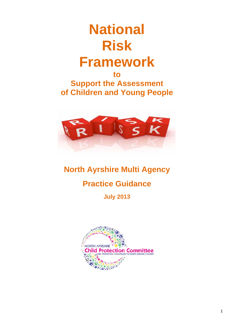# **National Risk Framework**

**to Support the Assessment of Children and Young People** 



# **North Ayrshire Multi Agency**

# **Practice Guidance**

**July 2013** 

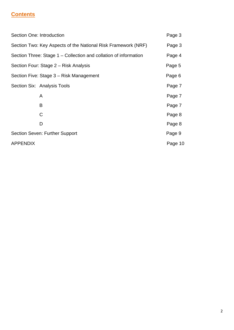# **Contents**

| Section One: Introduction |                                                                  | Page 3  |
|---------------------------|------------------------------------------------------------------|---------|
|                           | Section Two: Key Aspects of the National Risk Framework (NRF)    | Page 3  |
|                           | Section Three: Stage 1 – Collection and collation of information | Page 4  |
|                           | Section Four: Stage 2 – Risk Analysis                            | Page 5  |
|                           | Section Five: Stage 3 – Risk Management                          | Page 6  |
|                           | Section Six: Analysis Tools                                      | Page 7  |
|                           | A                                                                | Page 7  |
|                           | B                                                                | Page 7  |
|                           | C                                                                | Page 8  |
|                           | D                                                                | Page 8  |
|                           | Section Seven: Further Support                                   | Page 9  |
| <b>APPENDIX</b>           |                                                                  | Page 10 |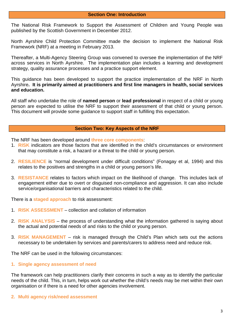The National Risk Framework to Support the Assessment of Children and Young People was published by the Scottish Government in December 2012.

North Ayrshire Child Protection Committee made the decision to implement the National Risk Framework (NRF) at a meeting in February 2013.

Thereafter, a Multi-Agency Steering Group was convened to oversee the implementation of the NRF across services in North Ayrshire. The implementation plan includes a learning and development strategy, quality assurance processes and a practice support element.

This guidance has been developed to support the practice implementation of the NRF in North Ayrshire**. It is primarily aimed at practitioners and first line managers in health, social services and education.**

All staff who undertake the role of **named person** or **lead professional** in respect of a child or young person are expected to utilise the NRF to support their assessment of that child or young person. This document will provide some guidance to support staff in fulfilling this expectation.

#### **Section Two: Key Aspects of the NRF**

The NRF has been developed around **three core components**:

- 1. **RISK** indicators are those factors that are identified in the child's circumstances or environment that may constitute a risk, a hazard or a threat to the child or young person.
- 2. **RESILIENCE** is "normal development under difficult conditions" (Fonagay et al, 1994) and this relates to the positives and strengths in a child or young person's life.
- 3. **RESISTANCE** relates to factors which impact on the likelihood of change. This includes lack of engagement either due to overt or disguised non-compliance and aggression. It can also include service/organisational barriers and characteristics related to the child.

There is a **staged approach** to risk assessment:

- 1. **RISK ASSESSMENT** collection and collation of information
- 2. **RISK ANALYSIS** the process of understanding what the information gathered is saying about the actual and potential needs of and risks to the child or young person.
- 3. **RISK MANAGEMENT** risk is managed through the Child's Plan which sets out the actions necessary to be undertaken by services and parents/carers to address need and reduce risk.

The NRF can be used in the following circumstances:

#### **1. Single agency assessment of need**

The framework can help practitioners clarify their concerns in such a way as to identify the particular needs of the child. This, in turn, helps work out whether the child's needs may be met within their own organisation or if there is a need for other agencies involvement.

#### **2. Multi agency risk/need assessment**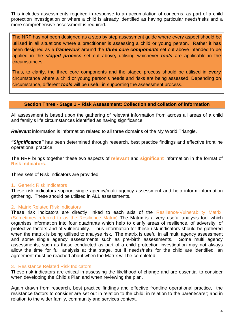This includes assessments required in response to an accumulation of concerns, as part of a child protection investigation or where a child is already identified as having particular needs/risks and a more comprehensive assessment is required.

 The NRF has not been designed as a step by step assessment guide where every aspect should be utilised in all situations where a practitioner is assessing a child or young person. Rather it has been designed as a *framework* around the *three core components* set out above intended to be applied in the *staged process* set out above*,* utilising whichever *tools* are applicable in the circumstances.

Thus, to clarify, the three core components and the staged process should be utilised in *every* circumstance where a child or young person's needs and risks are being assessed. Depending on circumstance, different *tools* will be useful in supporting the assessment process.

#### **Section Three - Stage 1 – Risk Assessment: Collection and collation of information**

All assessment is based upon the gathering of relevant information from across all areas of a child and family's life circumstances identified as having significance.

*Relevant* information is information related to all three domains of the My World Triangle.

*"Significance"* has been determined through research, best practice findings and effective frontline operational practice.

The NRF brings together these two aspects of **relevant** and **significant** information in the format of **Risk Indicators**.

Three sets of Risk Indicators are provided:

#### 1. Generic Risk Indicators

These risk indicators support single agency/multi agency assessment and help inform information gathering. These should be utilised in ALL assessments.

#### 2. Matrix Related Risk Indicators

These risk indicators are directly linked to each axis of the Resilience-Vulnerability Matrix. (Sometimes referred to as the Resilience Matrix) The Matrix is a very useful analysis tool which organises information into four quadrants which help to clarify areas of resilience, of adversity, of protective factors and of vulnerability. Thus information for these risk indicators should be gathered when the matrix is being utilised to analyse risk. The matrix is useful in all multi agency assessment and some single agency assessments such as pre-birth assessments. Some multi agency assessments, such as those conducted as part of a child protection investigation may not always allow the time for full analysis at that stage, but if needs/risks for the child are identified, an agreement must be reached about when the Matrix will be completed.

#### 3. Resistance Related Risk Indicators

These risk indicators are critical in assessing the likelihood of change and are essential to consider when developing the Child's Plan and when reviewing the plan.

Again drawn from research, best practice findings and effective frontline operational practice, the resistance factors to consider are set out in relation to the child; in relation to the parent/carer; and in relation to the wider family, community and services context.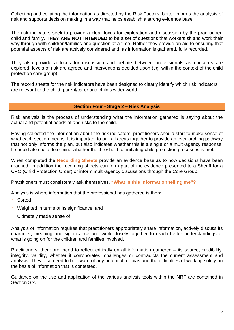Collecting and collating the information as directed by the Risk Factors, better informs the analysis of risk and supports decision making in a way that helps establish a strong evidence base.

The risk indicators seek to provide a clear focus for exploration and discussion by the practitioner, child and family. **THEY ARE NOT INTENDED** to be a set of questions that workers sit and work their way through with children/families one question at a time. Rather they provide an aid to ensuring that potential aspects of risk are actively considered and, as information is gathered, fully recorded.

They also provide a focus for discussion and debate between professionals as concerns are explored, levels of risk are agreed and interventions decided upon (eg. within the context of the child protection core group).

The record sheets for the risk indicators have been designed to clearly identify which risk indicators are relevant to the child, parent/carer and child's wider world.

#### **Section Four - Stage 2 – Risk Analysis**

Risk analysis is the process of understanding what the information gathered is saying about the actual and potential needs of and risks to the child.

Having collected the information about the risk indicators, practitioners should start to make sense of what each section means. It is important to pull all areas together to provide an over-arching pathway that not only informs the plan, but also indicates whether this is a single or a multi-agency response. It should also help determine whether the threshold for initiating child protection processes is met.

When completed the **Recording Sheets** provide an evidence base as to how decisions have been reached. In addition the recording sheets can form part of the evidence presented to a Sheriff for a CPO (Child Protection Order) or inform multi-agency discussions through the Core Group.

Practitioners must consistently ask themselves, **"What is this information telling me"?**

Analysis is where information that the professional has gathered is then:

- **Sorted**
- Weighted in terms of its significance, and
- Ultimately made sense of

Analysis of information requires that practitioners appropriately share information, actively discuss its character, meaning and significance and work closely together to reach better understandings of what is going on for the children and families involved.

Practitioners, therefore, need to reflect critically on all information gathered – its source, credibility, integrity, validity, whether it corroborates, challenges or contradicts the current assessment and analysis. They also need to be aware of any potential for bias and the difficulties of working solely on the basis of information that is contested.

Guidance on the use and application of the various analysis tools within the NRF are contained in Section Six.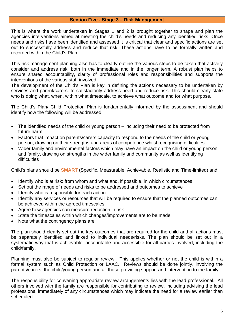#### **Section Five - Stage 3 – Risk Management**

This is where the work undertaken in Stages 1 and 2 is brought together to shape and plan the agencies interventions aimed at meeting the child's needs and reducing any identified risks. Once needs and risks have been identified and assessed it is critical that clear and specific actions are set out to successfully address and reduce that risk. These actions have to be formally written and recorded within the Child's Plan.

This risk management planning also has to clearly outline the various steps to be taken that actively consider and address risk, both in the immediate and in the longer term. A robust plan helps to ensure shared accountability, clarity of professional roles and responsibilities and supports the interventions of the various staff involved.

The development of the Child's Plan is key in defining the actions necessary to be undertaken by services and parent/carers, to satisfactorily address need and reduce risk. This should clearly state who is doing what, when, within what timescale, to achieve what outcome and for what purpose.

The Child's Plan/ Child Protection Plan is fundamentally informed by the assessment and should identify how the following will be addressed:

- The identified needs of the child or young person including their need to be protected from future harm
- Factors that impact on parents/carers capacity to respond to the needs of the child or young person, drawing on their strengths and areas of competence whilst recognising difficulties
- Wider family and environmental factors which may have an impact on the child or young person and family, drawing on strengths in the wider family and community as well as identifying difficulties

Child's plans should be **SMART** (Specific, Measurable, Achievable, Realistic and Time-limited) and:

- Identify who is at risk: from whom and what and, if possible, in which circumstances
- Set out the range of needs and risks to be addressed and outcomes to achieve
- Identify who is responsible for each action
- Identify any services or resources that will be required to ensure that the planned outcomes can be achieved within the agreed timescales
- Agree how agencies can measure reduction in risk
- State the timescales within which changes/improvements are to be made
- Note what the contingency plans are

The plan should clearly set out the key outcomes that are required for the child and all actions must be separately identified and linked to individual needs/risks. The plan should be set out in a systematic way that is achievable, accountable and accessible for all parties involved, including the child/family.

Planning must also be subject to regular review. This applies whether or not the child is within a formal system such as Child Protection or LAAC. Reviews should be done jointly, involving the parents/carers, the child/young person and all those providing support and intervention to the family.

The responsibility for convening appropriate review arrangements lies with the lead professional. All others involved with the family are responsible for contributing to review, including advising the lead professional immediately of any circumstances which may indicate the need for a review earlier than scheduled.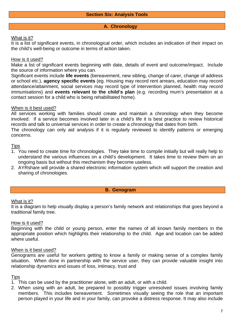#### **A. Chronology**

#### What is it?

It is a list of significant events, in chronological order, which includes an indication of their impact on the child's well-being or outcome in terms of action taken.

#### How is it used?

Make a list of significant events beginning with date, details of event and outcome/impact. Include the source of information where you can.

Significant events include **life events** (bereavement, new sibling, change of carer, change of address or school etc.), **agency specific events** (eg. Housing may record rent arrears, education may record attendance/attainment, social services may record type of intervention planned, health may record immunisations) and **events relevant to the child's plan** (e.g. recording mum's presentation at a contact session for a child who is being rehabilitated home).

#### When is it best used?

All services working with families should create and maintain a chronology when they become involved. If a service becomes involved later in a child's life it is best practice to review historical records and talk to universal services in order to create a chronology that dates from birth.

The chronology can only aid analysis if it is regularly reviewed to identify patterns or emerging concerns.

#### **Tips**

- 1. You need to create time for chronologies. They take time to compile initially but will really help to understand the various influences on a child's development. It takes time to review them on an ongoing basis but without this mechanism they become useless.
- 2. AYRshare will provide a shared electronic information system which will support the creation and sharing of chronologies.

#### **B. Genogram**

#### What is it?

It is a diagram to help visually display a person's family network and relationships that goes beyond a traditional family tree.

#### How is it used?

Beginning with the child or young person, enter the names of all known family members in the appropriate position which highlights their relationship to the child. Age and location can be added where useful.

#### When is it best used?

Genograms are useful for workers getting to know a family or making sense of a complex family situation. When done in partnership with the service user, they can provide valuable insight into relationship dynamics and issues of loss, intimacy, trust and

#### **Tips**

- 1. This can be used by the practitioner alone, with an adult, or with a child.
- 2. When using with an adult, be prepared to possibly trigger unresolved issues involving family members. This includes bereavement. Sometimes visually seeing the role that an important person played in your life and in your family, can provoke a distress response. It may also include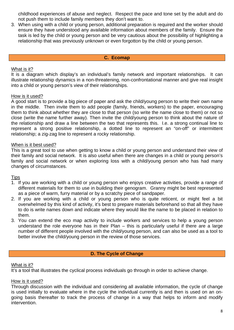childhood experiences of abuse and neglect. Respect the pace and tone set by the adult and do not push them to include family members they don't want to.

3. When using with a child or young person, additional preparation is required and the worker should ensure they have understood any available information about members of the family. Ensure the task is led by the child or young person and be very cautious about the possibility of highlighting a relationship that was previously unknown or even forgotton by the child or young person.

#### **C. Ecomap**

#### What is it?

It is a diagram which display's an individual's family network and important relationships. It can illustrate relationship dynamics in a non-threatening, non-confrontational manner and give real insight into a child or young person's view of their relationships.

#### How is it used?

A good start is to provide a big piece of paper and ask the child/young person to write their own name in the middle. Then invite them to add people (family, friends, workers) to the paper, encouraging them to think about whether they are close to that person (so write the name close to them) or not so close (write the name further away). Then invite the child/young person to think about the nature of the relationship and draw a line between the two that represents this. I.e. a strong continual line to represent a strong positive relationship, a dotted line to represent an "on-off" or intermittent relationship; a zig-zag line to represent a rocky relationship.

#### When is it best used?

This is a great tool to use when getting to know a child or young person and understand their view of their family and social network. It is also useful when there are changes in a child or young person's family and social network or when exploring loss with a child/young person who has had many changes of circumstances.

#### Tips

- 1. If you are working with a child or young person who enjoys creative activities, provide a range of different materials for them to use in building their genogram. Granny might be best represented as a piece of warm, furry material or by a scratchy piece of sandpaper.
- 2. If you are working with a child or young person who is quite reticent, or might feel a bit overwhelmed by this kind of activity, it's best to prepare materials beforehand so that all they have to do is write names down and indicate where they would like the name to be placed in relation to them.
- 3. You can extend the eco map activity to include workers and services to help a young person understand the role everyone has in their Plan – this is particularly useful if there are a large number of different people involved with the child/young person, and can also be used as a tool to better involve the child/young person in the review of those services.

#### **D. The Cycle of Change**

#### What is it?

It's a tool that illustrates the cyclical process individuals go through in order to achieve change.

#### How is it used?

Through discussion with the individual and considering all available information, the cycle of change is used initially to evaluate where in the cycle the individual currently is and then is used on an ongoing basis thereafter to track the process of change in a way that helps to inform and modify intervention.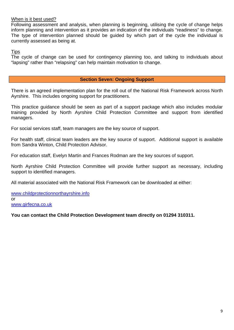#### When is it best used?

Following assessment and analysis, when planning is beginning, utilising the cycle of change helps inform planning and intervention as it provides an indication of the individuals "readiness" to change. The type of intervention planned should be guided by which part of the cycle the individual is currently assessed as being at.

**Tips** 

The cycle of change can be used for contingency planning too, and talking to individuals about "lapsing" rather than "relapsing" can help maintain motivation to change.

#### **Section Seven: Ongoing Support**

There is an agreed implementation plan for the roll out of the National Risk Framework across North Ayrshire. This includes ongoing support for practitioners.

This practice guidance should be seen as part of a support package which also includes modular training provided by North Ayrshire Child Protection Committee and support from identified managers.

For social services staff, team managers are the key source of support.

For health staff, clinical team leaders are the key source of support. Additional support is available from Sandra Winton, Child Protection Advisor.

For education staff, Evelyn Martin and Frances Rodman are the key sources of support.

North Ayrshire Child Protection Committee will provide further support as necessary, including support to identified managers.

All material associated with the National Risk Framework can be downloaded at either:

www.childprotectionnorthayrshire.info or www.girfecna.co.uk

**You can contact the Child Protection Development team directly on 01294 310311.**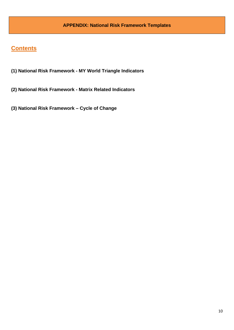### **Contents**

- **(1) National Risk Framework MY World Triangle Indicators**
- **(2) National Risk Framework Matrix Related Indicators**
- **(3) National Risk Framework Cycle of Change**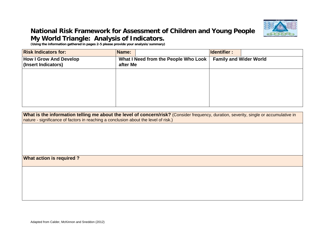

### **National Risk Framework for Assessment of Children and Young People My World Triangle: Analysis of Indicators.**

**(Using the information gathered in pages 2-5 please provide your analysis/summary)** 

| <b>Risk Indicators for:</b>                          | Name:                                            | <b>Identifier:</b>            |
|------------------------------------------------------|--------------------------------------------------|-------------------------------|
| <b>How I Grow And Develop</b><br>(Insert Indicators) | What I Need from the People Who Look<br>after Me | <b>Family and Wider World</b> |
|                                                      |                                                  |                               |
|                                                      |                                                  |                               |
|                                                      |                                                  |                               |
|                                                      |                                                  |                               |

**What is the information telling me about the level of concern/risk?** (Consider frequency, duration, severity, single or accumulative in nature - significance of factors in reaching a conclusion about the level of risk.)

**What action is required ?**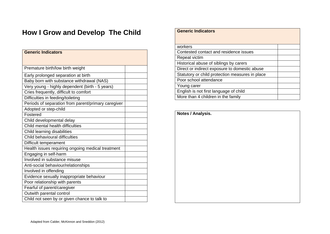# **How I Grow and Develop The Child**

| <b>Generic Indicators</b>                           |
|-----------------------------------------------------|
|                                                     |
| Premature birth/low birth weight                    |
| Early prolonged separation at birth                 |
| Baby born with substance withdrawal (NAS)           |
| Very young - highly dependent (birth - 5 years)     |
| Cries frequently, difficult to comfort              |
| Difficulties in feeding/toileting                   |
| Periods of separation from parent/primary caregiver |
| Adopted or step-child                               |
| Fostered                                            |
| Child developmental delay                           |
| Child mental health difficulties                    |
| Child learning disabilities                         |
| Child behavioural difficulties                      |
| Difficult temperament                               |
| Health issues requiring ongoing medical treatment   |
| Engaging in self-harm                               |
| Involved in substance misuse                        |
| Anti-social behaviour/relationships                 |
| Involved in offending                               |
| Evidence sexually inappropriate behaviour           |
| Poor relationship with parents                      |
| Fearful of parent/caregiver                         |
| Outwith parental control                            |
| Child not seen by or given chance to talk to        |

| <b>Generic Indicators</b>                       |  |
|-------------------------------------------------|--|
|                                                 |  |
|                                                 |  |
| workers                                         |  |
| Contested contact and residence issues          |  |
| Repeat victim                                   |  |
| Historical abuse of siblings by carers          |  |
| Direct or indirect exposure to domestic abuse   |  |
| Statutory or child protection measures in place |  |
| Poor school attendance                          |  |
| Young carer                                     |  |
| English is not first language of child          |  |
| More than 4 children in the family              |  |

| Notes / Analysis. |  |
|-------------------|--|
|                   |  |
|                   |  |
|                   |  |
|                   |  |
|                   |  |
|                   |  |
|                   |  |
|                   |  |
|                   |  |
|                   |  |
|                   |  |
|                   |  |
|                   |  |
|                   |  |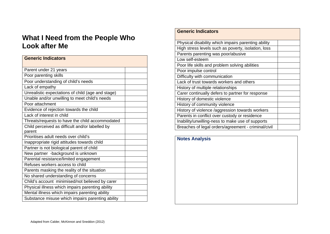# **What I Need from the People Who Look after Me**

| <b>Generic Indicators</b>                         |  |
|---------------------------------------------------|--|
|                                                   |  |
| Parent under 21 years                             |  |
| Poor parenting skills                             |  |
| Poor understanding of child's needs               |  |
| Lack of empathy                                   |  |
| Unrealistic expectations of child (age and stage) |  |
| Unable and/or unwilling to meet child's needs     |  |
| Poor attachment                                   |  |
| Evidence of rejection towards the child           |  |
| Lack of interest in child                         |  |
| Threats/requests to have the child accommodated   |  |
| Child perceived as difficult and/or labelled by   |  |
| parent                                            |  |
| Prioritises adult needs over child's              |  |
| Inappropriate rigid attitudes towards child       |  |
| Partner is not biological parent of child         |  |
| New partner -background is unknown                |  |
| Parental resistance/limited engagement            |  |
| Refuses workers access to child                   |  |
| Parents masking the reality of the situation      |  |
| No shared understanding of concerns               |  |
| Child's account minimised/not believed by carer   |  |
| Physical illness which impairs parenting ability  |  |
| Mental illness which impairs parenting ability    |  |
| Substance misuse which impairs parenting ability  |  |

#### **Generic Indicators**

| Physical disability which impairs parenting ability |  |
|-----------------------------------------------------|--|
| High stress levels such as poverty, isolation, loss |  |
| Parents parenting was poor/abusive                  |  |
| Low self-esteem                                     |  |
| Poor life skills and problem solving abilities      |  |
| Poor impulse control                                |  |
| Difficulty with communication                       |  |
| Lack of trust towards workers and others            |  |
| History of multiple relationships                   |  |
| Carer continually defers to partner for response    |  |
| History of domestic violence                        |  |
| History of community violence                       |  |
| History of violence /aggression towards workers     |  |
| Parents in conflict over custody or residence       |  |
| Inability/unwilling-ness to make use of supports    |  |
| Breaches of legal orders/agreement - criminal/civil |  |

### **Notes Analysis**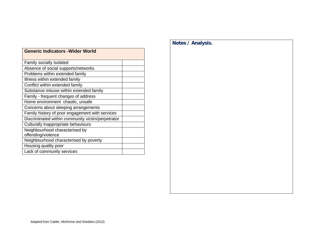| OCIICIIL IIIUILALVIS - VVIUCI VVUIIU              |  |
|---------------------------------------------------|--|
| Family socially isolated                          |  |
| Absence of social supports/networks               |  |
| Problems within extended family                   |  |
| Illness within extended family                    |  |
| Conflict within extended family                   |  |
| Substance misuse within extended family           |  |
| Family - frequent changes of address              |  |
| Home environment chaotic, unsafe                  |  |
| Concerns about sleeping arrangements              |  |
| Family history of poor engagement with services   |  |
| Discriminated within community victim/perpetrator |  |
| Culturally inappropriate behaviours               |  |
| Neighbourhood characterised by                    |  |
| offending/violence                                |  |
| Neighbourhood characterised by poverty            |  |
| Housing quality poor                              |  |
| Lack of community services                        |  |

#### **Generic Indicators -Wider World**

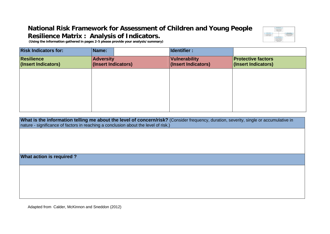## **National Risk Framework for Assessment of Children and Young People Resilience Matrix : Analysis of Indicators.**



 **(Using the information gathered in pages 2-5 please provide your analysis/summary)** 

| <b>Risk Indicators for:</b>              | Name:                                   | Identifier :                         |                                                  |
|------------------------------------------|-----------------------------------------|--------------------------------------|--------------------------------------------------|
| <b>Resilience</b><br>(Insert Indicators) | <b>Adversity</b><br>(Insert Indicators) | Vulnerability<br>(Insert Indicators) | <b>Protective factors</b><br>(Insert Indicators) |
|                                          |                                         |                                      |                                                  |
|                                          |                                         |                                      |                                                  |
|                                          |                                         |                                      |                                                  |
|                                          |                                         |                                      |                                                  |

**What is the information telling me about the level of concern/risk?** (Consider frequency, duration, severity, single or accumulative in nature - significance of factors in reaching a conclusion about the level of risk.)

**What action is required ?**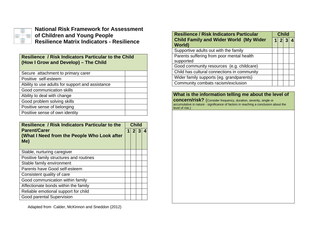

#### **National Risk Framework for Assessment of Children and Young People Resilience Matrix Indicators - Resilience**

#### **Resilience / Risk Indicators Particular to the Child (How I Grow and Develop) – The Child**

| <b>Resilience / Risk Indicators Particular to the</b>                     |  | <b>Child</b> |  |  |
|---------------------------------------------------------------------------|--|--------------|--|--|
| <b>Parent/Carer</b><br>(What I Need from the People Who Look after<br>Me) |  |              |  |  |
| Stable, nurturing caregiver                                               |  |              |  |  |
| Positive family structures and routines                                   |  |              |  |  |
| Stable family environment                                                 |  |              |  |  |
| Parents have Good self-esteem                                             |  |              |  |  |
| Consistent quality of care                                                |  |              |  |  |
| Good communication within family                                          |  |              |  |  |
| Affectionate bonds within the family                                      |  |              |  |  |
| Reliable emotional support for child                                      |  |              |  |  |
| Good parental Supervision                                                 |  |              |  |  |

| <b>Resilience / Risk Indicators Particular</b> |  | <b>Child</b> |  |  |  |
|------------------------------------------------|--|--------------|--|--|--|
| <b>Child Family and Wider World (My Wider</b>  |  | 2 3          |  |  |  |
| <b>World</b> )                                 |  |              |  |  |  |
| Supportive adults out with the family          |  |              |  |  |  |
| Parents suffering from poor mental health      |  |              |  |  |  |
| supported                                      |  |              |  |  |  |
| Good community resources (e.g. childcare)      |  |              |  |  |  |
| Child has cultural connections in community    |  |              |  |  |  |
| Wider family supports (eg. grandparents)       |  |              |  |  |  |
| Community combats racism/exclusion             |  |              |  |  |  |

#### **What is the information telling me about the level of**

**concern/risk?** (Consider frequency, duration, severity, single or accumulative in nature - significance of factors in reaching a conclusion about the level of risk.)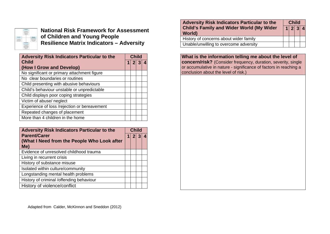

**National Risk Framework for Assessment of Children and Young People Resilience Matrix Indicators – Adversity** 

| <b>Adversity Risk Indicators Particular to the</b> |  | <b>Child</b> |  |
|----------------------------------------------------|--|--------------|--|
| <b>Child</b>                                       |  |              |  |
| (How I Grow and Develop)                           |  |              |  |
| No significant or primary attachment figure        |  |              |  |
| No clear boundaries or routines                    |  |              |  |
| Child presenting with abusive behaviours           |  |              |  |
| Child's behaviour unstable or unpredictable        |  |              |  |
| Child displays poor coping strategies              |  |              |  |
| Victim of abuse/ neglect                           |  |              |  |
| Experience of loss /rejection or bereavement       |  |              |  |
| Repeated changes of placement                      |  |              |  |
| More than 4 children in the home                   |  |              |  |

| <b>Adversity Risk Indicators Particular to the</b> |  | <b>Child</b> |  |  |
|----------------------------------------------------|--|--------------|--|--|
| <b>Parent/Carer</b>                                |  |              |  |  |
| (What I Need from the People Who Look after        |  |              |  |  |
| Me)                                                |  |              |  |  |
| Evidence of unresolved childhood trauma            |  |              |  |  |
| Living in recurrent crisis                         |  |              |  |  |
| History of substance misuse                        |  |              |  |  |
| Isolated within culture/community                  |  |              |  |  |
| Longstanding mental health problems                |  |              |  |  |
| History of criminal /offending behaviour           |  |              |  |  |
| History of violence/conflict                       |  |              |  |  |

| <b>Adversity Risk Indicators Particular to the</b><br><b>Child's Family and Wider World (My Wider</b><br><b>World</b> ) |  | <b>Child</b> |  |  |
|-------------------------------------------------------------------------------------------------------------------------|--|--------------|--|--|
|                                                                                                                         |  | 1 2 3 4      |  |  |
| History of concerns about wider family                                                                                  |  |              |  |  |
| Unable/unwilling to overcome adversity                                                                                  |  |              |  |  |

**What is the information telling me about the level of concern/risk?** (Consider frequency, duration, severity, single or accumulative in nature - significance of factors in reaching a conclusion about the level of risk.)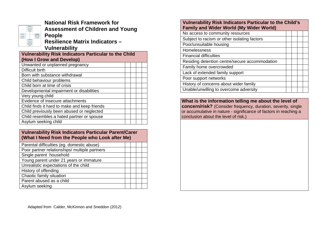|                                                           | <b><i><u><u>Listens</u></u></i></b>                                                                       |                                             |
|-----------------------------------------------------------|-----------------------------------------------------------------------------------------------------------|---------------------------------------------|
|                                                           | <b><i>ALCOHOL: NO</i></b><br>color cable of<br><b><i><u><u>Registracy</u></u></i></b><br>a bara<br>$\sim$ |                                             |
| showed                                                    | men crear<br>$-100$<br>ń.                                                                                 | $\mathcal{L}$                               |
| <b>COLORED AT</b><br><b>Instruments</b><br>commenced that | ۰                                                                                                         | ۳<br>۰<br>ally to be made<br><b>Michael</b> |
| m.<br>÷                                                   |                                                                                                           |                                             |
|                                                           | <br><b>COLLECTION</b><br><b>CANTIN</b>                                                                    |                                             |

**National Risk Framework for Assessment of Children and Young People Resilience Matrix Indicators –** 

**Vulnerability** 

| <b>Vulnerability Risk Indicators Particular to the Child</b> |  |  |  |
|--------------------------------------------------------------|--|--|--|
| (How I Grow and Develop)                                     |  |  |  |
| Unwanted or unplanned pregnancy                              |  |  |  |
| Difficult birth                                              |  |  |  |
| Born with substance withdrawal                               |  |  |  |
| Child behaviour problems                                     |  |  |  |
| Child born at time of crisis                                 |  |  |  |
| Developmental impairment or disabilities                     |  |  |  |
| Very young child                                             |  |  |  |
| Evidence of insecure attachments                             |  |  |  |
| Child finds it hard to make and keep friends                 |  |  |  |
| Child previously been abused or neglected                    |  |  |  |
| Child resembles a hated partner or spouse                    |  |  |  |
| Asylum seeking child                                         |  |  |  |

#### **Vulnerability Risk Indicators Particular Parent/Carer (What I Need from the People who Look after Me)**

| Parental difficulties (eg. domestic abuse)    |  |  |  |
|-----------------------------------------------|--|--|--|
| Poor partner relationships/ multiple partners |  |  |  |
| Single parent household                       |  |  |  |
| Young parent under 21 years or immature       |  |  |  |
| Unrealistic expectations of the child         |  |  |  |
| History of offending                          |  |  |  |
| Chaotic family situation                      |  |  |  |
| Parent abused as a child                      |  |  |  |
| Asylum seeking                                |  |  |  |

#### **Vulnerability Risk Indicators Particular to the Child's Family and Wider World (My Wider World)**

| No access to community resources               |  |  |
|------------------------------------------------|--|--|
| Subject to racism or other isolating factors   |  |  |
| Poor/unsuitable housing                        |  |  |
| Homelessness                                   |  |  |
| <b>Financial difficulties</b>                  |  |  |
| Residing detention centre/secure accommodation |  |  |
| Family home overcrowded                        |  |  |
| Lack of extended family support                |  |  |
| Poor support networks                          |  |  |
| History of concerns about wider family         |  |  |
| Unable/unwilling to overcome adversity         |  |  |

**What is the information telling me about the level of concern/risk?** (Consider frequency, duration, severity, single or accumulative in nature - significance of factors in reaching a conclusion about the level of risk.)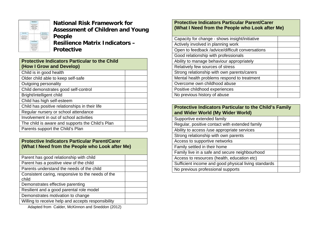

**National Risk Framework for Assessment of Children and Young People Resilience Matrix Indicators – Protective** 

| <b>Protective Indicators Particular to the Child</b><br>(How I Grow and Develop) |  |
|----------------------------------------------------------------------------------|--|
| Child is in good health                                                          |  |
| Older child able to keep self-safe                                               |  |
| Outgoing personality                                                             |  |
| Child demonstrates good self-control                                             |  |
| Bright/intelligent child                                                         |  |
| Child has high self-esteem                                                       |  |
| Child has positive relationships in their life                                   |  |
| Regular nursery or school attendance                                             |  |
| Involvement in out of school activities                                          |  |
| The child is aware and supports the Child's Plan                                 |  |
| Parents support the Child's Plan                                                 |  |
|                                                                                  |  |

#### **Protective Indicators Particular Parent/Carer (What I Need from the People who Look after Me)**

| Parent has good relationship with child                    |  |
|------------------------------------------------------------|--|
| Parent has a positive view of the child                    |  |
| Parents understand the needs of the child                  |  |
| Consistent caring, responsive to the needs of the<br>child |  |
| Demonstrates effective parenting                           |  |
| Resilient and a good parental role model                   |  |
| Demonstrates motivation to change                          |  |
| Willing to receive help and accepts responsibility         |  |
|                                                            |  |

Adapted from Calder, McKinnon and Sneddon (2012)

#### **Protective Indicators Particular Parent/Carer (What I Need from the People who Look after Me)**

| Capacity for change - shows insight/initiative   |  |
|--------------------------------------------------|--|
| Actively involved in planning work               |  |
| Open to feedback /advice/difficult conversations |  |
| Good relationship with professionals             |  |
| Ability to manage behaviour appropriately        |  |
| Relatively few sources of stress                 |  |
| Strong relationship with own parents/carers      |  |
| Mental health problems respond to treatment      |  |
| Overcome own childhood abuse                     |  |
| Positive childhood experiences                   |  |
| No previous history of abuse                     |  |

#### **Protective Indicators Particular to the Child's Family and Wider World (My Wider World)**  Supportive extended family

- Regular, positive contact with extended family
- Ability to access /use appropriate services
- Strong relationship with own parents Access to supportive networks Family settled in their home Family live in a safe and secure neighbourhood Access to resources (health, education etc)

Sufficient income and good physical living standards No previous professional supports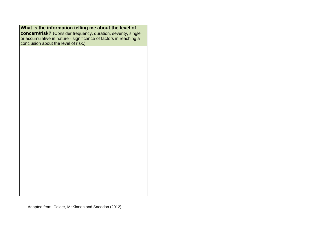|  | What is the information telling me about the level of |  |
|--|-------------------------------------------------------|--|
|--|-------------------------------------------------------|--|

**concern/risk?** (Consider frequency, duration, severity, single or accumulative in nature - significance of factors in reaching a conclusion about the level of risk.)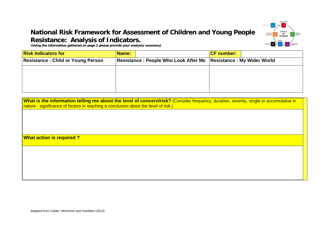# **National Risk Framework for Assessment of Children and Young People Resistance: Analysis of Indicators.**



**(Using the information gathered on page 2 please provide your analysis/summary)** 

| <b>Risk Indicators for</b>               | Name:                                       | <b>CF</b> number:                 |
|------------------------------------------|---------------------------------------------|-----------------------------------|
| <b>Resistance: Child or Young Person</b> | <b>Resistance: People Who Look After Me</b> | <b>Resistance: My Wider World</b> |
|                                          |                                             |                                   |
|                                          |                                             |                                   |
|                                          |                                             |                                   |
|                                          |                                             |                                   |

| What is the information telling me about the level of concern/risk? (Consider frequency, duration, severity, single or accumulative in |  |
|----------------------------------------------------------------------------------------------------------------------------------------|--|
| nature - significance of factors in reaching a conclusion about the level of risk.)                                                    |  |

**What action is required ?**